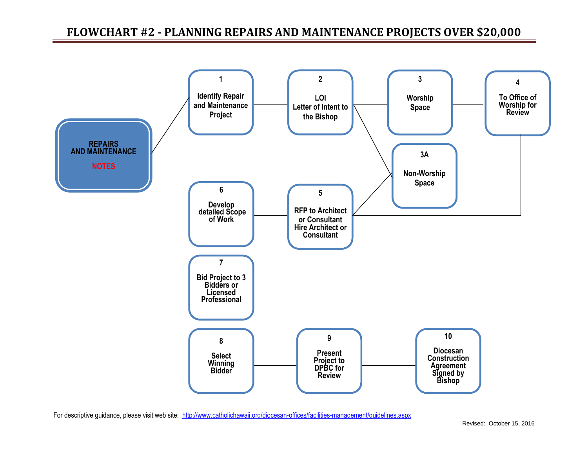## **FLOWCHART #2 - PLANNING REPAIRS AND MAINTENANCE PROJECTS OVER \$20,000**



50  $\sim 10$